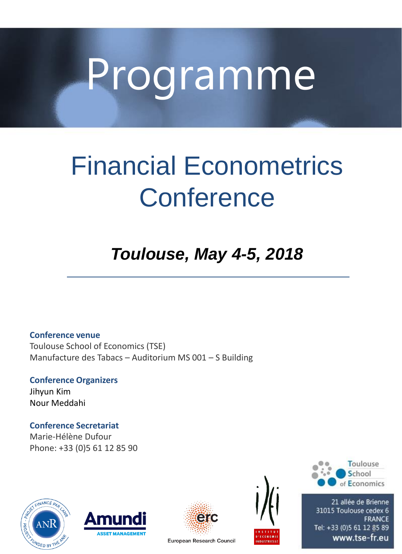# Programme

# Financial Econometrics **Conference**

# *Toulouse, May 4-5, 2018*

**Conference venue** Toulouse School of Economics (TSE) Manufacture des Tabacs – Auditorium MS 001 – S Building

**Conference Organizers** Jihyun Kim Nour Meddahi

**Conference Secretariat** Marie-Hélène Dufour Phone: +33 (0)5 61 12 85 90









21 allée de Brienne 31015 Toulouse cedex 6 **FRANCE** Tel: +33 (0)5 61 12 85 89<br>www.tse-fr.eu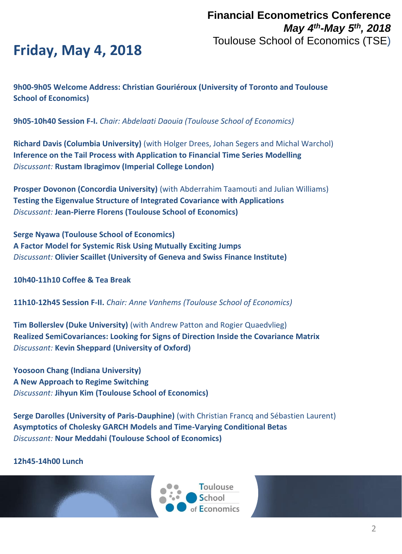## **Friday, May 4, 2018**

**9h00-9h05 Welcome Address: Christian Gouriéroux (University of Toronto and Toulouse School of Economics)**

**9h05-10h40 Session F-I.** *Chair: Abdelaati Daouia (Toulouse School of Economics)*

**Richard Davis (Columbia University)** (with Holger Drees, Johan Segers and Michal Warchol) **Inference on the Tail Process with Application to Financial Time Series Modelling** *Discussant:* **Rustam Ibragimov (Imperial College London)**

**Prosper Dovonon (Concordia University)** (with Abderrahim Taamouti and Julian Williams) **Testing the Eigenvalue Structure of Integrated Covariance with Applications** *Discussant:* **Jean-Pierre Florens (Toulouse School of Economics)**

**Serge Nyawa (Toulouse School of Economics) A Factor Model for Systemic Risk Using Mutually Exciting Jumps** *Discussant:* **Olivier Scaillet (University of Geneva and Swiss Finance Institute)**

**10h40-11h10 Coffee & Tea Break**

**11h10-12h45 Session F-II.** *Chair: Anne Vanhems (Toulouse School of Economics)*

**Tim Bollerslev (Duke University)** (with Andrew Patton and Rogier Quaedvlieg) **Realized SemiCovariances: Looking for Signs of Direction Inside the Covariance Matrix** *Discussant:* **Kevin Sheppard (University of Oxford)**

**Yoosoon Chang (Indiana University) A New Approach to Regime Switching** *Discussant:* **Jihyun Kim (Toulouse School of Economics)**

**Serge Darolles (University of Paris-Dauphine)** (with Christian Francq and Sébastien Laurent) **Asymptotics of Cholesky GARCH Models and Time-Varying Conditional Betas** *Discussant:* **Nour Meddahi (Toulouse School of Economics)**

**12h45-14h00 Lunch**

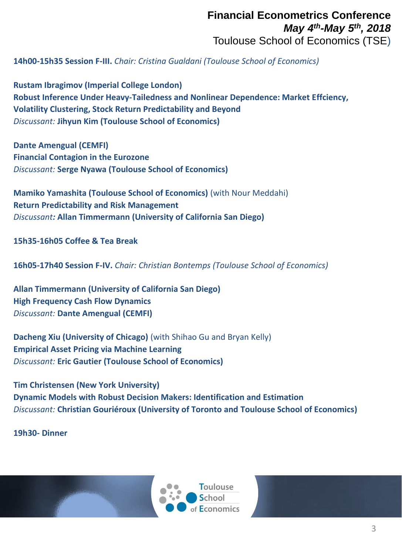#### **Financial Econometrics Conference** *May 4th-May 5th, 2018* Toulouse School of Economics (TSE)

**14h00-15h35 Session F-III.** *Chair: Cristina Gualdani (Toulouse School of Economics)*

**Rustam Ibragimov (Imperial College London) Robust Inference Under Heavy-Tailedness and Nonlinear Dependence: Market Effciency, Volatility Clustering, Stock Return Predictability and Beyond** *Discussant:* **Jihyun Kim (Toulouse School of Economics)**

**Dante Amengual (CEMFI) Financial Contagion in the Eurozone** *Discussant:* **Serge Nyawa (Toulouse School of Economics)**

**Mamiko Yamashita (Toulouse School of Economics)** (with Nour Meddahi) **Return Predictability and Risk Management** *Discussant:* **Allan Timmermann (University of California San Diego)**

**15h35-16h05 Coffee & Tea Break**

**16h05-17h40 Session F-IV.** *Chair: Christian Bontemps (Toulouse School of Economics)*

**Allan Timmermann (University of California San Diego) High Frequency Cash Flow Dynamics** *Discussant:* **Dante Amengual (CEMFI)**

**Dacheng Xiu (University of Chicago)** (with Shihao Gu and Bryan Kelly) **Empirical Asset Pricing via Machine Learning** *Discussant:* **Eric Gautier (Toulouse School of Economics)**

**Tim Christensen (New York University) Dynamic Models with Robust Decision Makers: Identification and Estimation** *Discussant:* **Christian Gouriéroux (University of Toronto and Toulouse School of Economics)**

**19h30- Dinner**

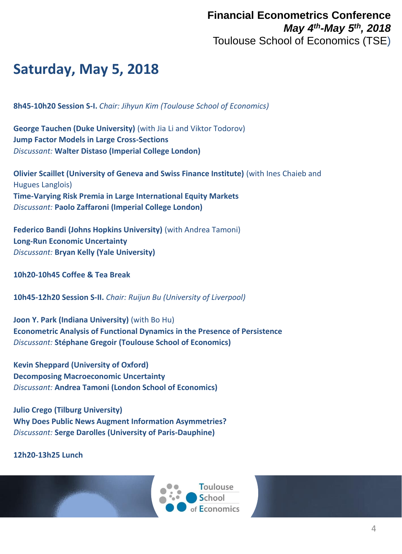### **Saturday, May 5, 2018**

**8h45-10h20 Session S-I.** *Chair: Jihyun Kim (Toulouse School of Economics)*

**George Tauchen (Duke University)** (with Jia Li and Viktor Todorov) **Jump Factor Models in Large Cross-Sections** *Discussant:* **Walter Distaso (Imperial College London)**

**Olivier Scaillet (University of Geneva and Swiss Finance Institute)** (with Ines Chaieb and Hugues Langlois) **Time-Varying Risk Premia in Large International Equity Markets** *Discussant:* **Paolo Zaffaroni (Imperial College London)**

**Federico Bandi (Johns Hopkins University)** (with Andrea Tamoni) **Long-Run Economic Uncertainty** *Discussant:* **Bryan Kelly (Yale University)**

**10h20-10h45 Coffee & Tea Break**

**10h45-12h20 Session S-II.** *Chair: Ruijun Bu (University of Liverpool)*

**Joon Y. Park (Indiana University)** (with Bo Hu) **Econometric Analysis of Functional Dynamics in the Presence of Persistence** *Discussant:* **Stéphane Gregoir (Toulouse School of Economics)**

**Kevin Sheppard (University of Oxford) Decomposing Macroeconomic Uncertainty** *Discussant:* **Andrea Tamoni (London School of Economics)**

**Julio Crego (Tilburg University) Why Does Public News Augment Information Asymmetries?** *Discussant:* **Serge Darolles (University of Paris-Dauphine)**

**12h20-13h25 Lunch**